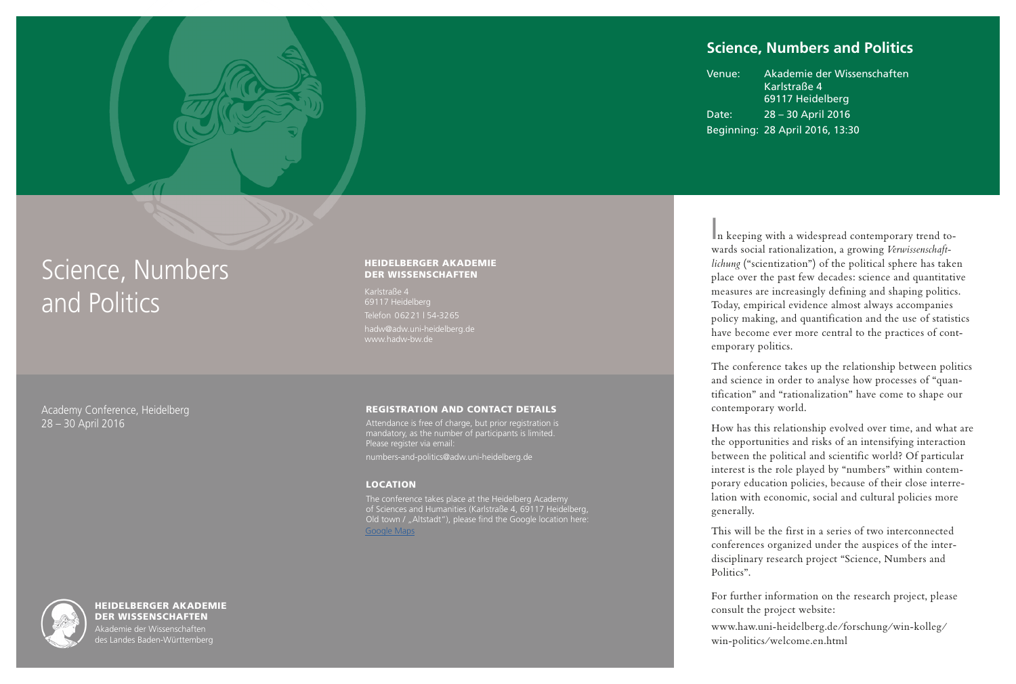# **Science, Numbers and Politics**

Venue: Akademie der Wissenschaften Karlstraße 4 69117 Heidelberg Date: 28 – 30 April 2016 Beginning: 28 April 2016, 13:30

# Science, Numbers and Politics

#### Academy Conference, Heidelberg 28 – 30 April 2016

#### HEIDELBERGER AKADEMIE DER WISSENSCHAFTEN

Karlstraße 4 Telefon 06221 | 54-3265 hadw@adw.uni-heidelberg.de www.hadw-bw.de

#### REGISTRATION AND CONTACT DETAILS

Attendance is free of charge, but prior registration is mandatory, as the number of participants is limited. Please register via email:

numbers-and-politics@adw.uni-heidelberg.de

#### LOCATION

The conference takes place at the Heidelberg Academy of Sciences and Humanities (Karlstraße 4, 69117 Heidelberg, Old town / "Altstadt"), please find the Google location here: [Google Maps](https://goo.gl/maps/x5oFKnsTySL2.)

 n keeping with a widespread contemporary trend to-I wards social rationalization, a growing *Verwissenschaftlichung* ("scientization") of the political sphere has taken place over the past few decades: science and quantitative measures are increasingly defining and shaping politics. Today, empirical evidence almost always accompanies policy making, and quantification and the use of statistics have become ever more central to the practices of contemporary politics.

The conference takes up the relationship between politics and science in order to analyse how processes of "quantification" and "rationalization" have come to shape our contemporary world.

How has this relationship evolved over time, and what are the opportunities and risks of an intensifying interaction between the political and scientific world? Of particular interest is the role played by "numbers" within contemporary education policies, because of their close interrelation with economic, social and cultural policies more generally.

This will be the first in a series of two interconnected conferences organized under the auspices of the interdisciplinary research project "Science, Numbers and Politics"

For further information on the research project, please consult the project website:

www.haw.uni-heidelberg.de/forschung/win-kolleg/ win-politics/welcome.en.html



HEIDELBERGER AKADEMIE DER WISSENSCHAFTEN

Akademie der Wissenschaften es Landes Baden-Württemberg